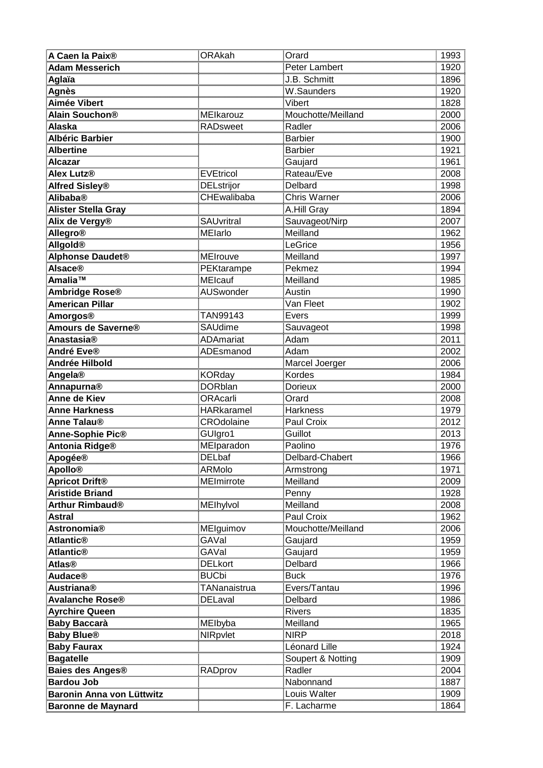| A Caen la Paix <sup>®</sup>            | ORAkah                           | Orard                       | 1993                                                        |
|----------------------------------------|----------------------------------|-----------------------------|-------------------------------------------------------------|
| <b>Adam Messerich</b>                  |                                  | Peter Lambert               | 1920                                                        |
| Aglaïa                                 |                                  | J.B. Schmitt                | 1896<br>1920                                                |
| <b>Agnès</b>                           |                                  | W.Saunders                  |                                                             |
| Aimée Vibert                           |                                  | Vibert                      | 1920<br>1828<br>2000<br>2006                                |
| <u> Alain Souchon®</u>                 | <u>MElkarouz</u>                 | Mouchotte/Meilland          |                                                             |
| <b>Alaska</b>                          | RADsweet                         | Radler                      |                                                             |
| Albéric Barbier                        |                                  | Barbier                     | 1900                                                        |
| <b>Albertine</b>                       |                                  | <b>Barbier</b>              | 1921                                                        |
| Alcazar                                |                                  | Gaujard<br>                 | 1961<br>1961<br>2008<br>1998<br>2006<br>1894                |
| Alex Lutz®                             | <u>EVEtricol</u>                 | Rateau/Eve                  |                                                             |
|                                        | <u>DELstrijor</u>                | Delbard                     |                                                             |
| <b>Alfred Sisley®</b><br>Alibaba®      | CHEwalibaba                      | <u>Chris Warner</u>         |                                                             |
| <b>Alister Stella Gray</b>             |                                  | A.Hill Gray                 |                                                             |
| <u>Alix de Vergy®</u>                  | SAUvritral                       | Sauvageot/Nirp              |                                                             |
| <b>Allegro®</b>                        | <b>MElarlo</b>                   | Meilland                    | 2007<br>1962                                                |
| <u>Allgold®</u>                        |                                  | LeGrice                     | 1992<br>1956<br>1994<br>1994                                |
| <b>Alphonse Daudet®</b>                |                                  | Meilland                    |                                                             |
|                                        | MEIrouve<br>PEKtarampe           | Pekmez                      |                                                             |
| Alsace®<br>Amalia™                     | MEIcauf                          | Meilland                    | 1985                                                        |
| <b>Ambridge Rose®</b>                  | <b>AUSwonder</b>                 | Austin                      | 1990                                                        |
| <b>American Pillar</b>                 |                                  | Van Fleet                   |                                                             |
| Amorgos®                               | TAN99143                         | Evers                       |                                                             |
| Amours de Saverne®                     | SAUdime                          | Sauvageot                   |                                                             |
| <u>Anastasia®</u>                      | ADAmariat                        | Adam                        | 1902<br>1999<br>1998<br>2011<br>2002                        |
| André Eve®                             | ADEsmanod                        | Adam                        |                                                             |
| Andrée Hilbold                         |                                  | Marcel Joerger              | 2006                                                        |
| Angela®                                | <b>KORday</b>                    | Kordes                      | 1984                                                        |
|                                        | <b>DORblan</b>                   | Dorieux                     | $\frac{2000}{2008}$ $\frac{1979}{2012}$ $\frac{2012}{2013}$ |
| Annapurna <sup>®</sup><br>Anne de Kiev | DONUMI<br>ORAcarli<br>HARkaramel | Orard                       |                                                             |
| <b>Anne Harkness</b>                   |                                  | <u>Harkness</u>             |                                                             |
| <mark>Anne Talau®</mark>               | <u>CROdolaine</u>                | Paul Croix                  |                                                             |
| Anne-Sophie Pic®                       | GUIgro1                          | Guillot                     |                                                             |
| <b>Antonia Ridge®</b>                  | MEIparadon                       | Paolino                     | 1976                                                        |
| <b>Apogée®</b>                         | <b>DELbaf</b>                    | Delbard-Chabert             | 1966                                                        |
| <b>Apollo®</b>                         | ARMolo                           | Armstrong                   | 1971                                                        |
| Apricot Drift®                         | MEImirrote                       | <u>Meilland</u>             | 2009                                                        |
| <b>Aristide Briand</b>                 |                                  | <u>Penny</u>                | 1928                                                        |
| <u>Arthur Rimbaud®</u>                 | MElhylvol                        | Meilland                    | 2008                                                        |
| <b>Astral</b>                          |                                  | Paul Croix                  | 1962                                                        |
| <b>Astronomia®</b>                     | MElguimov                        | Mouchotte/Meilland          | 2006                                                        |
| Atlantic®                              | GAVal                            | <u>Gaujard</u>              | $\frac{1}{1959}$                                            |
| <b>Atlantic®</b>                       | GAVal                            | <u>Gaujard</u>              | 1959                                                        |
| <u>Atlas®</u>                          | <b>DELkort</b>                   | Delbard                     |                                                             |
| <b>Audace®</b>                         | <b>BUCbi</b>                     | Buck                        | 1966<br>1976                                                |
| <b>Austriana®</b>                      | TANanaistrua                     | Evers/Tantau                | 1996                                                        |
| <b>Avalanche Rose<sup>®</sup></b>      | <b>DELaval</b>                   | Delbard                     | 1986                                                        |
| <b>Ayrchire Queen</b>                  |                                  | <b>Rivers</b>               | 1835                                                        |
| <b>Baby Baccarà</b>                    | <b>MElbyba</b>                   | Meilland                    | 1965                                                        |
| <b>Baby Blue®</b>                      | NIRpvlet                         | <b>NIRP</b>                 | 2018                                                        |
|                                        |                                  | Léonard Lille               | 1924                                                        |
| <b>Baby Faurax</b><br><b>Bagatelle</b> |                                  | Soupert & Notting           | 1909                                                        |
|                                        |                                  | Radler                      | 2004                                                        |
| Baies des Anges®<br><b>Bardou Job</b>  | RADprov                          | Nabonnand                   | <br>1887                                                    |
| Baronin Anna von Lüttwitz              |                                  |                             |                                                             |
|                                        |                                  | Louis Walter<br>F. Lacharme | 1909                                                        |
| Baronne de Maynard                     |                                  |                             | 1864                                                        |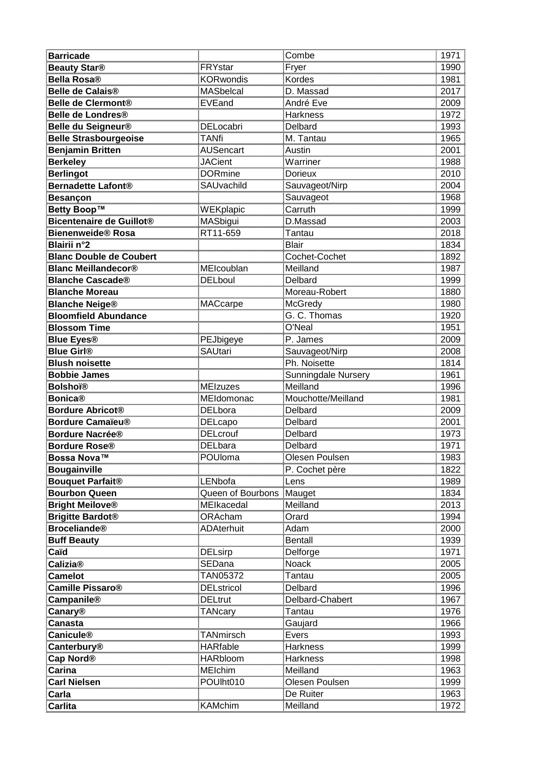| <b>Barricade</b>                             |                       | Combe                 | 1971                         |
|----------------------------------------------|-----------------------|-----------------------|------------------------------|
| <b>Beauty Star®</b>                          | FRYstar               | Fryer                 | 1990                         |
| Bella Rosa®                                  | <b>KORwondis</b>      | Kordes                | 1981                         |
| Belle de Calais <sup>®</sup>                 | <b>MASbelcal</b>      | D. Massad             | $\frac{1881}{2017}$          |
| <u>Belle de Clermont®</u>                    | EVEand                | André Eve             |                              |
| <b>Belle de Londres®</b>                     |                       | <u>Harkness</u>       |                              |
| Belle du Seigneur®                           | <b>DELocabri</b>      | Delbard               | 2009<br>1972<br>1993         |
| <u>Belle Strasbourgeoise</u>                 | <b>TANfi</b>          | M. Tantau             | 1965                         |
| <b>Benjamin Britten</b>                      | <b>AUSencart</b>      | Austin                | 2001                         |
| <u>Berkeley</u>                              | <b>JACient</b>        | Warriner              | 1988<br>2010                 |
| <b>Berlingot</b>                             | <b>DORmine</b>        | Dorieux               |                              |
| <u> Bernadette Lafont®</u>                   | SAUvachild            | Sauvageot/Nirp        | 2004                         |
| <u>Besançon</u>                              |                       | Sauvageot             | 1968                         |
| Betty Boop™                                  | WEKplapic             | Carruth               | 1999                         |
| Bicentenaire de Guillot®                     | MASbigui              | D.Massad              | 2003                         |
| Bienenweide® Rosa                            | RT11-659              | Tantau                |                              |
| <mark>Blairii n°2</mark>                     |                       | <b>Blair</b>          |                              |
| <u> Blanc Double de Coubert</u>              |                       | <u>Cochet-Cochet</u>  |                              |
| <b>Blanc Meillandecor®</b>                   | MEIcoublan            | Meilland              | 2018<br>1834<br>1892<br>1987 |
| <b>Blanche Cascade®</b>                      | DELboul               | Delbard               | 1999                         |
| <b>Blanche Moreau</b>                        |                       | Moreau-Robert         | 1880                         |
| <u>Blanche Neige®</u>                        | <b>MACcarpe</b>       | McGredy               |                              |
| <b>Bloomfield Abundance</b>                  |                       | G. C. Thomas          |                              |
| <u>Blossom Time</u>                          |                       | O'Neal                | 1980<br>1920<br>1951         |
| <b>Blue Eyes®</b>                            | PEJbigeye             | P. James              | 2009                         |
| <b>Blue Girl®</b>                            | <b>SAUtari</b>        | Sauvageot/Nirp        | 2008                         |
| <b>Blush noisette</b>                        |                       | Ph. Noisette          | 1814                         |
| <b>Bobbie James</b>                          |                       | Sunningdale Nursery   | 1961                         |
| <u>Bolshoï®</u>                              | <u>MEIzuzes</u>       | Meilland              | 1996<br>1996<br>1981<br>2009 |
| Bonica®                                      | MEIdomonac            | Mouchotte/Meilland    |                              |
| Bordure Abricot®                             | <b>DELbora</b>        | Delbard               |                              |
| Bordure Camaïeu®                             | <u>DELcapo</u>        | Delbard               | 2001                         |
| Bordure Nacrée®                              | <b>DELcrouf</b>       | Delbard               | 1973                         |
| <b>Bordure Rose®</b>                         | <b>DELbara</b>        | Delbard               | 1971                         |
| Bossa Nova™                                  | POUloma               | Olesen Poulsen        | 1983                         |
| <b>Bougainville</b>                          |                       | P. Cochet père        | 1822                         |
| <u>Bouquet Parfait®</u>                      | LENbofa               | <u>Lens</u>           | 1989<br>                     |
| <b>Bourbon Queen</b>                         | Queen of Bourbons     | Mauget                | 1834                         |
| <b>Bright Meilove®</b>                       | MEIkacedal            | Meilland              | 2013<br>1994                 |
| <b>Brigitte Bardot®</b>                      | ORAcham               | Orard                 |                              |
| <b>Broceliande®</b>                          | <b>ADAterhuit</b>     | Adam                  | 2000                         |
| <b>Buff Beauty</b>                           |                       | <b>Bentall</b>        | 2000<br>1939<br>1971<br>2005 |
| Caïd                                         | <u>DELsirp</u>        | <u>Delforge</u>       |                              |
| <u>Calizia®</u>                              | <u>SEDana</u>         | <b>Noack</b>          |                              |
| <b>Camelot</b>                               | TAN05372              | Tantau                | 2005                         |
| Camille Pissaro®<br>Campanile®<br>Campanile® | DELstricol<br>DELtrut | Delbard               | 1996<br>1967                 |
|                                              |                       | Delbard-Chabert       |                              |
| <u>Canary®</u>                               | TANcary               | <u>Tantau</u>         | 1907<br>1976<br>1966         |
| Canasta                                      |                       | <u>Gaujard</u>        |                              |
| <b>Canicule®</b>                             | TANmirsch             | Evers                 | 1993                         |
| <mark>Canterbury</mark> ®                    | <b>HARfable</b>       | Harkness              | 1999                         |
| Cap Nord <sup>®</sup>                        | <b>HARbloom</b>       | <b>Harkness</b>       | 1998                         |
| Carina                                       | <b>MEIchim</b>        | Meilland              | 1963                         |
|                                              |                       |                       |                              |
| Carl Nielsen                                 | POUIht010             | Olesen Poulsen        | 1999                         |
| Carla<br><br>Carlita                         | <b>KAMchim</b>        | De Ruiter<br>Meilland | 1963<br>1972                 |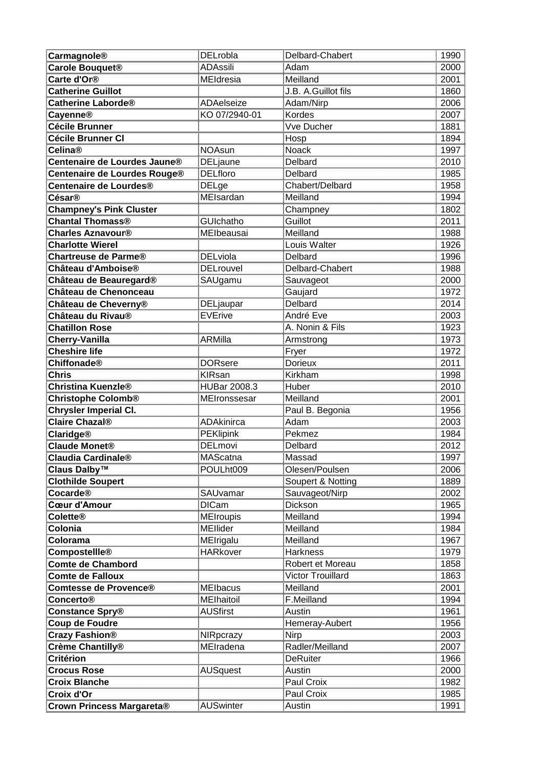| Carmagnole®                        | DELrobla             | Delbard-Chabert     | 1990                                 |
|------------------------------------|----------------------|---------------------|--------------------------------------|
| Carole Bouquet <sup>®</sup>        | <b>ADAssili</b>      | Adam                | 2000                                 |
| Carte d'Or <sup>®</sup>            | <b>MEIdresia</b>     | Meilland            | 2001<br>1860                         |
| <b>Catherine Guillot</b>           |                      | J.B. A.Guillot fils |                                      |
| Catherine Laborde®                 | ADAelseize           | Adam/Nirp           | 2006                                 |
| Cayenne®                           | KO 07/2940-01        | Kordes              |                                      |
| <b>Cécile Brunner</b>              |                      | Vve Ducher          | 2007<br>1881                         |
| Cécile Brunner Cl                  |                      | Hosp                | 1894                                 |
| Celina®                            | <b>NOAsun</b>        | Noack               | 1997                                 |
| Centenaire de Lourdes Jaune®       | <b>DELjaune</b>      | Delbard             | 2010                                 |
| Centenaire de Lourdes Rouge®       | <b>DELfloro</b>      | Delbard             | $\frac{2010}{1985}$                  |
| Centenaire de Lourdes®             | <u>DELge</u>         | Chabert/Delbard     | 1958                                 |
| César®                             | MEIsardan            | Meilland            | 1994                                 |
| <b>Champney's Pink Cluster</b>     |                      | Champney            | 1802                                 |
| Chantal Thomass®                   | <b>GUIchatho</b>     | Guillot             | 2011                                 |
| Charles Aznavour®                  | MElbeausai           | Meilland            | 1988                                 |
| <b>Charlotte Wierel</b>            |                      | Louis Walter        | 1926<br>1926<br>1988<br>1988         |
| <u> Chartreuse de Parme®</u>       | <u>DELviola</u>      | Delbard             |                                      |
| Château d'Amboise®                 | <b>DELrouvel</b>     | Delbard-Chabert     |                                      |
| Château de B <u>eauregard®</u>     | SAUgamu              | Sauvageot           | 2000                                 |
| Château de Chenonceau              |                      | Gaujard             | 1972                                 |
| Château de Cheverny®               | DELjaupar            | Delbard             | 2014                                 |
| Château du Rivau®                  | <b>EVErive</b>       | André Eve           | 2014<br>2003<br>1923<br>1973<br>1972 |
| <b>Chatillon Rose</b>              |                      | A. Nonin & Fils     |                                      |
| Cherry-Vanilla                     | ARMilla              | Armstrong           |                                      |
| Cheshire life                      |                      | Fryer               |                                      |
| <b>Chiffonade®</b>                 | <b>DORsere</b>       | <b>Dorieux</b>      |                                      |
| Chris                              | <b>KIRsan</b>        | Kirkham             | 2011<br>1998                         |
| Christina Kuenzle®                 | <b>HUBar 2008.3</b>  | Huber               | 2010<br>2010<br>2001<br>1956         |
| <u> Christophe Colomb®</u>         | MEIronssesar         | Meilland            |                                      |
| <u> Chrysler Imperial Cl.</u>      |                      | Paul B. Begonia     |                                      |
| <b>Claire Chazal®</b>              | ADAkinirca           | Adam                | 2003                                 |
| <b>Claridge<sup>®</sup></b>        | <b>PEKlipink</b>     | Pekmez              | 1984                                 |
| <b>Claude Monet®</b>               | <b>DELmovi</b>       | Delbard             | 2012                                 |
| Claudia Cardinale®                 | MAScatna             | Massad              | <br>1997                             |
| <mark>Claus Dalby™</mark>          | POULht009            | Olesen/Poulsen      |                                      |
| <u> Clothilde Soupert</u>          |                      | Soupert & Notting   | 2006<br>1889                         |
| Cocarde®                           | SAUvamar             | Sauvageot/Nirp      | 2002                                 |
| Cœur d'Amour                       | <b>DICam</b>         | Dickson             | 1965                                 |
| <b>Colette®</b>                    | <b>MEIroupis</b>     | Meilland            |                                      |
| Colonia                            | <b>MEllider</b>      | Meilland            | 1984                                 |
| Colorama                           | <br><b>MEIrigalu</b> | Meilland            | 1967<br>1967<br>1979<br>1858         |
|                                    | <b>HARkover</b>      | Harkness            |                                      |
| Compostellle®<br>Comte de Chambord |                      | Robert et Moreau    |                                      |
| <b>Comte de Falloux</b>            |                      | Victor Trouillard   | 1863                                 |
| <u>Comtesse de Provence®</u>       | MElbacus             | Meilland            | 2001                                 |
| Concerto®                          | MElhaitoil           | F.Meilland          | 1994                                 |
| Constance Spry®                    | <b>AUSfirst</b>      | <b>Austin</b>       | 1961<br>1956<br>1956                 |
| Coup de Foudre                     |                      | Hemeray-Aubert      |                                      |
| Crazy Fashion®                     | NIRpcrazy            | Nirp                | 2003                                 |
| <b>Crème Chantilly®</b>            | MEIradena            | Radler/Meilland     | 2007                                 |
| <b>Critérion</b>                   |                      | <b>DeRuiter</b>     | 1966                                 |
| <b>Crocus Rose</b>                 | <b>AUSquest</b>      | Austin              | 2000                                 |
| <b>Croix Blanche</b>               |                      | Paul Croix          | $\frac{2888}{1982}$                  |
| Croix d'Or                         |                      | Paul Croix          | 1985                                 |
| Crown Princess Margareta®          | <b>AUSwinter</b>     | Austin              | 1991                                 |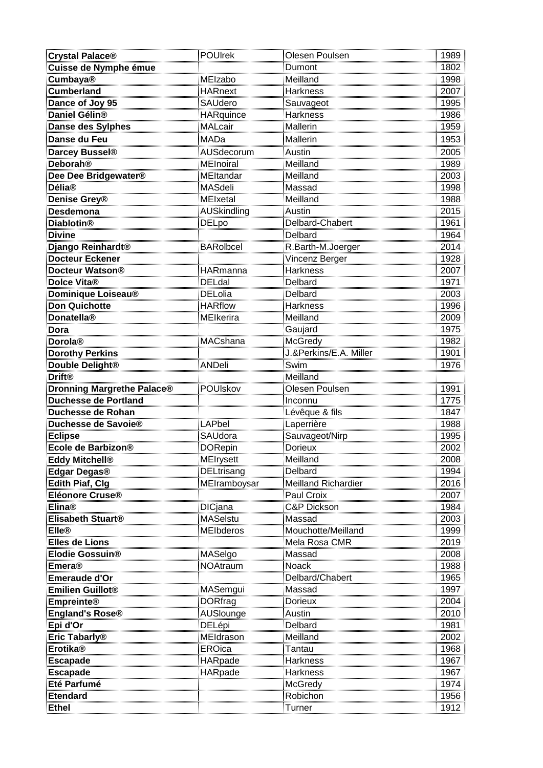| Crystal Palace®                              | <b>POUIrek</b>    | Olesen Poulsen             | 1989                                 |
|----------------------------------------------|-------------------|----------------------------|--------------------------------------|
| <b>Cuisse de Nymphe émue</b>                 |                   | Dumont                     | 1802                                 |
|                                              | <b>MEIzabo</b>    | Meilland                   | 1998                                 |
| Cumbaya <sup>®</sup><br>Cumberland           | HARnext           | Harkness                   |                                      |
| Dance of Joy 95                              | SAUdero           | <u>Sauvageot</u>           |                                      |
| Daniel Gélin®                                | <b>HARquince</b>  | <u>Harkness</u>            |                                      |
| Danse des Sylphes                            | MALcair           | Mallerin                   | 1990<br>2007<br>1995<br>1986<br>1959 |
| Danse du Feu                                 | MADa              | Mallerin                   | 1953                                 |
|                                              | <b>AUSdecorum</b> | ________<br>Austin         | $\frac{10000}{2005}$                 |
| Darcey Bussel®                               |                   |                            |                                      |
| Deborah®                                     | <b>MEInoiral</b>  | Meilland                   | 1989<br>2003                         |
| Dee Dee Bridgewater®                         | MEltandar         | Meilland                   |                                      |
| <b>Délia®</b>                                | <b>MASdeli</b>    | Massad                     | 1998                                 |
| Denise Grey <sup>®</sup>                     | <b>MEIxetal</b>   | Meilland                   | 1988                                 |
| Desdemona<br>Diablotin®                      | AUSkindling       | Austin                     | $\frac{2015}{1961}$<br>1961<br>1964  |
|                                              | DELpo             | Delbard-Chabert            |                                      |
| <b>Divine</b>                                |                   | Delbard                    |                                      |
| Django Reinhardt®                            | <b>BARolbcel</b>  | R.Barth-M.Joerger          | 2014                                 |
| <b>Docteur Eckener</b>                       |                   | Vincenz Berger             | 1928                                 |
| Docteur Watson®                              | <b>HARmanna</b>   | <b>Harkness</b>            |                                      |
| Dolce Vita <sup>®</sup>                      | DELdal            | Delbard                    | 2007<br>1971<br>2003<br>1996<br>2009 |
| <u>Dominique Loiseau®</u>                    | <b>DELolia</b>    | Delbard                    |                                      |
| <u>Don Quichotte</u>                         | <b>HARflow</b>    | <b>Harkness</b>            |                                      |
| Donatella <sup>®</sup>                       | MElkerira         | Meilland                   |                                      |
| <u>Dora</u>                                  |                   | Gaujard                    | 1975                                 |
| Dorola®                                      | <b>MACshana</b>   | McGredy                    | 1982                                 |
| Dorothy Perkins                              |                   | J.&Perkins/E.A. Miller     | 1901                                 |
| <u>Double Delight®</u>                       | ANDeli            | Swim                       | $\frac{155}{1976}$                   |
| Drift <sup>®</sup>                           |                   | Meilland                   |                                      |
| <b>Dronning Margrethe Palace®</b>            | POUIskov          | Olesen Poulsen             | 1991                                 |
| <b>Duchesse de Portland</b>                  |                   | Inconnu                    | 1775                                 |
| Duchesse de Rohan                            |                   | Lévêque & fils             | 1847<br>1988                         |
| Duchesse de Savoie®                          | <b>LAPbel</b>     | Laperrière                 |                                      |
| <b>Eclipse</b>                               | <b>SAUdora</b>    | <u>Sauvageot/Nirp</u>      | $\frac{1588}{1995}$                  |
| Ecole de Barbizon®                           | DORepin           | <u>Dorieux</u>             | 2002                                 |
| <u>Eddy Mitchell®</u>                        | <u>MEIrysett</u>  | Meilland                   | 2008                                 |
| Edgar Degas®                                 | <b>DELtrisang</b> | Delbard                    | 1994                                 |
| <b>Edith Piaf, Clg</b>                       | MEIramboysar      | <b>Meilland Richardier</b> | 2016                                 |
| Eléonore Cruse®                              |                   | Paul Croix                 | 2007                                 |
| Elina®                                       | DICjana           | C&P Dickson                | $\frac{288}{1984}$                   |
| Elisabeth Stuart®                            | MASelstu          | Massad                     | 2003                                 |
| Elle®                                        | MEIbderos         | Mouchotte/Meilland         | 1999<br>2019                         |
| <b>Elles de Lions</b>                        |                   | Mela Rosa CMR              |                                      |
| Elodie Gossuin®                              | MASelgo           | Massad                     | 2008                                 |
| <b>Emera®</b>                                | <b>NOAtraum</b>   | Noack                      | 1988                                 |
| Enneras<br>Emeraude d'Or<br>Emilien Guillot® |                   | Delbard/Chabert            | $\frac{1965}{1997}$                  |
|                                              | MASemgui          | <u>Massad</u>              |                                      |
| <b>Empreinte®</b>                            | DORfrag           | <u>Dorieux</u>             | 2004                                 |
| England's Rose®                              | AUSlounge         | <b>Austin</b>              | 2010                                 |
| Epi d'Or                                     | DELépi            | Delbard                    | 1981                                 |
|                                              | MEldrason         | Meilland                   | 2002                                 |
| Eric Tabarly®<br>Erotika®                    | EROica            | <u>Tantau</u>              | $\frac{1968}{7}$                     |
| <b>Escapade</b>                              | <b>HARpade</b>    | Harkness                   | 1967                                 |
| <u>Escapade</u>                              |                   |                            |                                      |
|                                              | HARpade           |                            |                                      |
| Eté Parfumé                                  |                   | <u>Harkness</u><br>McGredy | 1967<br>1974                         |
|                                              |                   |                            |                                      |
| <u>Etendard</u><br><b>Ethel</b>              |                   | Robichon<br>Turner         | 1956<br>1912                         |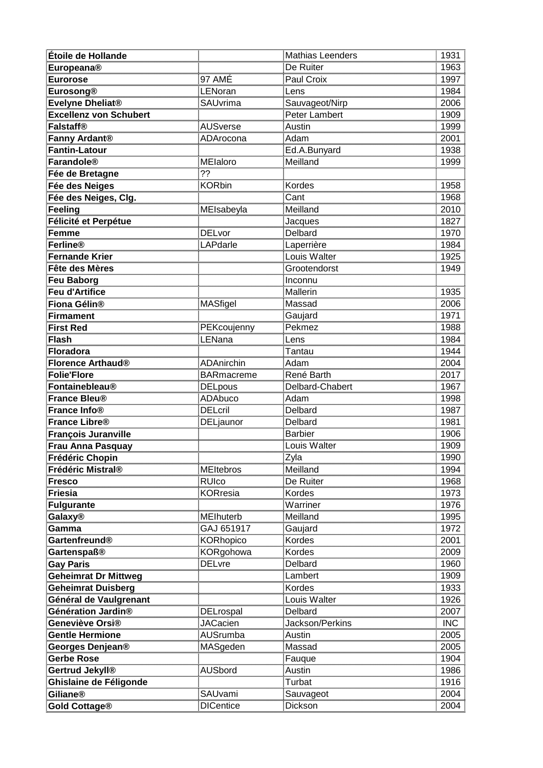| Étoile de Hollande                   |                                | Mathias Leenders              | 1931                                 |
|--------------------------------------|--------------------------------|-------------------------------|--------------------------------------|
| Europeana®                           |                                | De Ruiter                     | 1963                                 |
|                                      | 97 AMÉ                         | Paul Croix                    | 1997<br>1984                         |
| Eurorose<br>Eurosong®                | LENoran                        | Lens                          |                                      |
| Evelyne Dheliat®                     | SAUvrima                       | Sauvageot/Nirp                | 2006<br>1909<br>1999                 |
| <b>Excellenz von Schubert</b>        |                                | Peter Lambert                 |                                      |
| Falstaff®                            | <b>AUSverse</b>                | Austin                        |                                      |
| <b>Fanny Ardant®</b>                 | ADArocona                      | Adam                          | 2001                                 |
| Fantin-Latour                        |                                | Ed.A.Bunyard                  | 1938                                 |
| Farandole®                           | MElaloro                       | Meilland                      | 1999                                 |
| Fée de Bretagne                      | ??                             |                               |                                      |
| Fée des Neiges                       | KORbin                         | <b>Kordes</b>                 | 1958                                 |
| Fée des Neiges, Clg.                 |                                | Cant                          |                                      |
| Feeling                              | MEIsabeyla                     | Meilland                      | 1968<br>2010                         |
| <u>Félicité et Perpétue</u>          |                                | Jacques                       |                                      |
| Femme                                | DELvor                         | Delbard                       |                                      |
| Ferline®                             | <u>- = - - - .</u><br>_APdarle | <u>Laperrière</u>             |                                      |
| <u>Fernande Krier</u>                |                                | <u>Louis Walter</u>           |                                      |
| Fête des Mères                       |                                | Grootendorst                  | 1827<br>1970<br>1984<br>1925<br>1949 |
| Feu Baborg                           |                                | <u>Inconnu</u>                |                                      |
| Feu d'Artifice                       |                                | Mallerin                      | 1935                                 |
| <u>Fiona Gélin®</u>                  | <b>MASfigel</b>                | Massad                        | 2006                                 |
| <b>Firmament</b>                     |                                | Gaujard                       |                                      |
| <u>First Red</u>                     | PEKcoujenny                    | Pekmez                        |                                      |
| Flash                                | _ENana                         | _ens                          | 2000<br>1971<br>1988<br>1984         |
| Floradora                            |                                | Tantau                        | 1944                                 |
| Florence Arthaud <sup>®</sup>        | ADAnirchin                     | Adam                          | 2004                                 |
| <b>Folie'Flore</b>                   | <b>BARmacreme</b>              | René Barth                    | 2017                                 |
| Fontainebleau®                       | <b>DELpous</b>                 | Delbard-Chabert               | 2017<br>1967<br>1998<br>1987         |
| France Bleu®                         | ADAbuco<br>DELcril             | Adam                          |                                      |
| France Info®                         |                                | Delbard                       |                                      |
| France Libre®                        | DELjaunor                      | <b>Delbard</b>                | 1981                                 |
| <b>François Juranville</b>           |                                | <b>Barbier</b>                | 1906                                 |
| Frau Anna Pasquay                    |                                | Louis Walter                  | 1909                                 |
| Frédéric Chopin<br>Frédéric Mistral® |                                |                               | 1990                                 |
|                                      | MEItebros                      | Zyla<br>Meilland<br>Terminand | 1994                                 |
| <u>Fresco</u>                        | RUIco<br>KORresia              | De Ruiter<br>Kordes           | 1968                                 |
| Friesia                              |                                |                               | 1973                                 |
| Fulgurante                           |                                | <u>Warriner</u>               | 1976                                 |
| <b>Galaxy®</b>                       | <b>MElhuterb</b>               | Meilland                      | 1995                                 |
| Gamma                                | GAJ 651917                     | <u>Gaujard</u>                | 1972                                 |
| Gartenfreund®                        | KORhopico                      | Kordes                        | 2001                                 |
| <u>Gartenspaß®</u>                   | KORgohowa                      | Kordes                        | 2009                                 |
| <u>Gay Paris</u>                     | <b>DELvre</b>                  | <b>Delbard</b>                | 1960                                 |
| Geheimrat Dr Mittweg                 |                                | Lambert                       | 1909                                 |
| <u>Geheimrat Duisberg</u>            |                                | Kordes                        | 1933                                 |
| Général de Vaulgrenant               |                                | Louis Walter                  | 1926                                 |
| Génération Jardin®                   | <b>DELrospal</b>               | Delbard                       | 2007                                 |
| Geneviève Orsi®                      | <b>JACacien</b>                | Jackson/Perkins               | INC                                  |
| <b>Gentle Hermione</b>               | <b>AUSrumba</b>                | Austin                        | 2005                                 |
| <mark>Georges Denjean®</mark>        | MASgeden                       | Massad                        | 2005                                 |
| Gerbe Rose                           |                                | Fauque                        | 1904                                 |
| Gertrud Jekyll®                      | <b>AUSbord</b>                 | Austin<br>Turbat              | 1986                                 |
| Ghislaine de Féligonde               |                                |                               | $\frac{1888}{1916}$                  |
| <b>Giliane®</b>                      | <b>SAUvami</b>                 | <u>Sauvageot</u>              | 2004                                 |
| Gold Cottage®                        | <b>DICentice</b>               | Dickson                       | 2004                                 |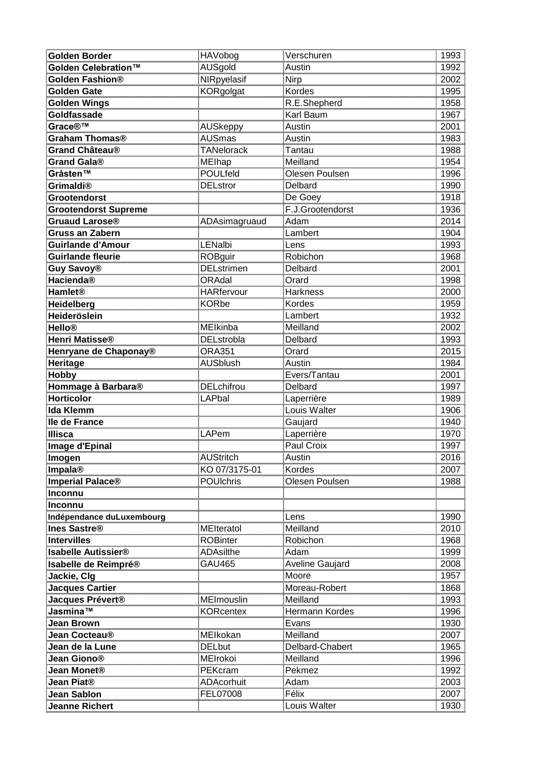| <b>Golden Border</b>                          | HAVobog                           | <u>Verschuren</u>                 | 1993                                                 |
|-----------------------------------------------|-----------------------------------|-----------------------------------|------------------------------------------------------|
| Golden Celebration™                           | AUSgold                           | Austin                            | 1992                                                 |
| Golden Fashion®                               | NIRpyelasif                       | Nirp                              | 2002                                                 |
| Golden Gate                                   | KORgolgat                         | Kordes                            |                                                      |
| <u>Golden Wings</u>                           |                                   | R.E.Shepherd                      | 2002<br>1995<br>1958<br>1967<br>2001                 |
| <u>Goldfassade</u>                            |                                   | Karl Baum                         |                                                      |
|                                               | AUSkeppy                          | Austin                            |                                                      |
| <mark>Grace®™</mark><br>Graham Thomas®        | <b>AUSmas</b>                     | Austin                            |                                                      |
| Grand Château <sup>®</sup>                    | <b>TANelorack</b>                 | Tantau                            | 1983<br>1988                                         |
| Grand Gala®<br>Gråsten™                       |                                   | Meilland                          | 1954<br>1954<br>1996<br>1990<br>1936<br>1936         |
|                                               | MElhap<br>POULfeld                | Olesen Poulsen                    |                                                      |
| <u>Grimaldi®</u>                              | <b>DELstror</b>                   | <b>Delbard</b>                    |                                                      |
| <b>Grootendorst</b>                           |                                   | De Goey                           |                                                      |
| <b>Grootendorst Supreme</b>                   |                                   | F.J.Grootendorst                  |                                                      |
|                                               | ADAsimaɑruaud                     | Adam                              |                                                      |
| <b>Gruaud Larose®</b><br>Gruss an Zabern      |                                   | Lambert                           |                                                      |
| Guirlande d'Amour                             |                                   |                                   |                                                      |
| <u>Guirlande fleurie</u>                      | <u>LENalbi</u>                    | <u>Lens</u><br>Robichon           |                                                      |
| Guy Savoy®                                    | ROBguir<br>DELstrimen             | Delbard                           | 2014<br>1904<br>1993<br>1968<br>2001                 |
| Hacienda®                                     | ORAdal                            | Orard                             | 1998                                                 |
| Hamlet <sup>®</sup>                           | <b>HARfervour</b>                 | <b>Harkness</b>                   |                                                      |
|                                               | <b>KORbe</b>                      | Kordes                            |                                                      |
| Heidelberg<br>Heideröslein                    |                                   | Lambert                           |                                                      |
|                                               |                                   | Meilland                          |                                                      |
| Hello®<br>Henri Matisse®                      | MEIkinba<br>DELstrobla            | <b>Delbard</b>                    |                                                      |
| <b>Henryane de Chaponay®</b>                  | <b>ORA351</b>                     | Orard                             | 1959<br>2000<br>1959<br>1932<br>2002<br>1993<br>2015 |
|                                               | <b>AUSblush</b>                   | Austin                            |                                                      |
| Heritage<br>Hobby                             |                                   | Evers/Tantau                      | 1984<br>2001<br>1997<br>1989<br>1906                 |
|                                               | DELchifrou                        | Delbard                           |                                                      |
| <mark>Hommage à Barbara®</mark>               | LAPbal                            |                                   |                                                      |
| Horticolor<br>Ida Klemm                       |                                   | <u>Laperrière</u><br>Louis Walter |                                                      |
|                                               |                                   | Gaujard                           |                                                      |
| <u>lle de France</u><br><b>Illisca</b>        | <b>LAPem</b>                      | Laperrière                        | 1940<br>1970                                         |
|                                               |                                   | Paul Croix                        | 1997                                                 |
| Image d'Epinal                                | AUStritch                         | Austin                            | 2016                                                 |
| <u>Imogen</u>                                 |                                   | Kordes                            | 2007                                                 |
| <u>Impala®</u>                                | KO 07/3175-01<br><b>POUIchris</b> | Olesen Poulsen                    | 1988                                                 |
| Imperial Palace®<br><b>Inconnu</b>            |                                   |                                   |                                                      |
| Inconnu                                       |                                   |                                   |                                                      |
| Indépendance duLuxembourg                     |                                   | Lens                              | 1990                                                 |
|                                               | MElteratol                        | Meilland                          | 2010                                                 |
| <b>Ines Sastre®</b><br><b>Intervilles</b>     | ROBinter                          | Robichon                          | 1968                                                 |
| <b>Isabelle Autissier®</b>                    | ADAsilthe                         |                                   | 1900<br>1999<br>2008<br>1957                         |
| <u>Isabelle de Reimpré® ____</u>              | GAU465                            | Adam<br>Aveline Gaujard           |                                                      |
| Jackie, Clg                                   |                                   | Moore                             |                                                      |
|                                               |                                   | Moreau-Robert                     |                                                      |
| Jacques Cartier<br>Jacques Prévert®           | <b>MEImouslin</b>                 | Meilland                          | 1868<br>1993<br>1996<br>1930                         |
| Jasmina™                                      | <b>KORcentex</b>                  | Hermann Kordes                    |                                                      |
| <b>Jean Brown</b>                             |                                   |                                   |                                                      |
| Jean Cocteau <sup>®</sup>                     | MEIkokan                          | Evans<br>Meilland                 | 2007                                                 |
|                                               | <b>DELbut</b>                     | Delbard-Chabert                   | 1965                                                 |
| Jean de la Lune <b>Jean de la Lune (</b>      | <b>MEIrokoi</b>                   | Meilland                          | 1996                                                 |
| <b>Jean Giono®</b><br>Jean Monet <sup>®</sup> | PEKcram                           | Pekmez                            | 1992                                                 |
|                                               |                                   |                                   | $\frac{1002}{2003}$                                  |
| Jean Piat®                                    | ADAcorhuit                        |                                   |                                                      |
| <u> Jean Sablon</u>                           | FEL07008                          | Félix                             | 2007                                                 |
| Jeanne Richert                                |                                   | Louis Walter                      | 1930                                                 |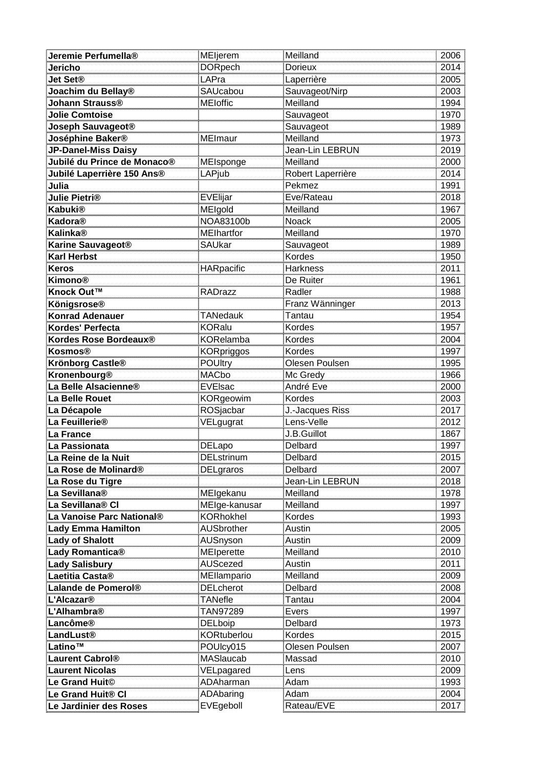| Jeremie Perfumella®                    | MEljerem           | Meilland                | 2006                                    |
|----------------------------------------|--------------------|-------------------------|-----------------------------------------|
| Jericho                                | <b>DORpech</b>     | <b>Dorieux</b>          | 2014                                    |
| <b>Jet Set®</b>                        | LAPra              | Laperrière              | 2005                                    |
| <b>Joachim du Bellay®</b>              | SAUcabou           | Sauvageot/Nirp          | 2003<br>2003<br>1994<br>1970<br>1989    |
| <u> Johann Strauss®</u>                | <b>MEIoffic</b>    | Meilland                |                                         |
| <b>Jolie Comtoise</b>                  |                    | <u>Sauvageot</u>        |                                         |
| Joseph Sauvageot®                      |                    | Sauvageot               |                                         |
| Joséphine Baker®                       | MEImaur            | Meilland                |                                         |
| <b>JP-Danel-Miss Daisy</b>             |                    | Jean-Lin LEBRUN         | 1973<br>2019                            |
| Jubilé du Prince de Monaco®            | <b>MEIsponge</b>   | Meilland                | $\frac{2000}{2014}$ $\frac{1991}{2018}$ |
| <u>Jubilé Laperrière 150 Ans®</u>      | LAPjub             | Robert Laperrière       |                                         |
|                                        |                    | Pekmez<br>              |                                         |
| Julia<br>Julie Pietri®                 | <u>EVElijar</u>    | Eve/Rateau              |                                         |
| <b>Kabuki®</b>                         | MEIgold            | Meilland                | 1967                                    |
| Kadora®                                | NOA83100b          | Noack                   |                                         |
| <b>Kalinka®</b>                        | <b>MElhartfor</b>  | Meilland                |                                         |
| <b>Karine Sauvageot®</b>               | SAUkar             | Sauvageot               |                                         |
| Karl Herbst                            |                    | Kordes                  |                                         |
| <u>Keros</u>                           | HARpacific         | Harkness                | 2005<br>1970<br>1989<br>1950<br>2011    |
| Kimono®                                |                    | De Ruiter               | 1961                                    |
| Knock Out™                             | RADrazz            | Radler                  | 1988                                    |
| <b>Königsrose®</b>                     |                    | Franz Wänninger         | 2013                                    |
| Konrad Adenauer                        | TANedauk           | Tantau                  |                                         |
| Kordes' Perfecta                       | KORalu             | Kordes                  |                                         |
| Kordes Rose Bordeaux®                  | <b>KORelamba</b>   | Kordes                  | 2013<br>1954<br>1957<br>2004            |
| Kosmos®                                | <b>KORpriggos</b>  | Kordes                  | 1997                                    |
| <u> Krönborg Castle®</u>               | <b>POUltry</b>     | Olesen Poulsen          |                                         |
| Kronenbourg <sup>®</sup>               | <b>MACbo</b>       | Mc Gredy                | 1995<br>1966                            |
|                                        | EVElsac            | André Eve               | 2000<br>2000<br>2003<br>2017            |
| La Belle Alsacienne®<br>La Belle Rouet | <u>KORgeowim</u>   | Kordes                  |                                         |
| La Décapole                            | ROSjacbar          | J.-Jacques Riss         |                                         |
| La Feuillerie®                         | VELgugrat          | Lens-Velle              | 2012                                    |
| La France                              |                    | J.B.Guillot             | 1867                                    |
| La Passionata                          | DELapo             | Delbard                 | 1997                                    |
| La Reine de la Nuit                    | DELstrinum         | Delbard                 | 2015                                    |
| La Rose de Molinard®                   | DELgraros          | Delbard                 | 2007                                    |
| <u>La Rose du Tigre</u>                |                    | <u> Jean-Lin LEBRUN</u> | 2018                                    |
| La Sevillana®                          | MEIgekanu          | Meilland                | 1978                                    |
| La Sevillana® Cl                       | MEIge-kanusar      | Meilland                | 1997                                    |
| La Vanoise Parc National®              | <b>KORhokhel</b>   | Kordes                  |                                         |
| <b>Lady Emma Hamilton</b>              | <b>AUSbrother</b>  | Austin                  | 2005                                    |
| <b>Lady of Shalott</b>                 | AUSnyson           | Austin                  | 2009                                    |
| <u>Lady Romantica®</u>                 | <u>MElperette</u>  | <u>Meilland</u>         | 2010                                    |
| Lady Salisbury                         | <u>AUScezed</u>    | Austin                  | 2011                                    |
| Laetitia Casta®                        | MEllampario        | Meilland                | 2009                                    |
| Lalande de Pomerol®                    | <b>DELcherot</b>   | Delbard                 | 2008                                    |
| L'Alcazar®                             | <b>TANefle</b>     | Tantau                  | 2004                                    |
| L <mark>'Alhambra®</mark>              | TAN97289           | Evers                   | 1997                                    |
| Lancôme®                               | DELboip            | Delbard                 | 1973                                    |
| _andLust®                              | <b>KORtuberlou</b> | Kordes                  | 2015                                    |
| Latino™                                | POUIcy015          | Olesen Poulsen          | 2007                                    |
| <b>Laurent Cabrol®</b>                 | <b>MASlaucab</b>   | Massad                  | 2010                                    |
| <b>Laurent Nicolas</b>                 | <u>VELpagared</u>  | Lens<br>Adam            | 2009<br>                                |
| Le Grand Huit©                         | ADAharman          |                         | 1993                                    |
| Le Grand Huit® Cl                      | ADAbaring          | Adam                    | 2004                                    |
| Le Jardinier des Roses                 | EVEgeboll          | Rateau/EVE              | 2017                                    |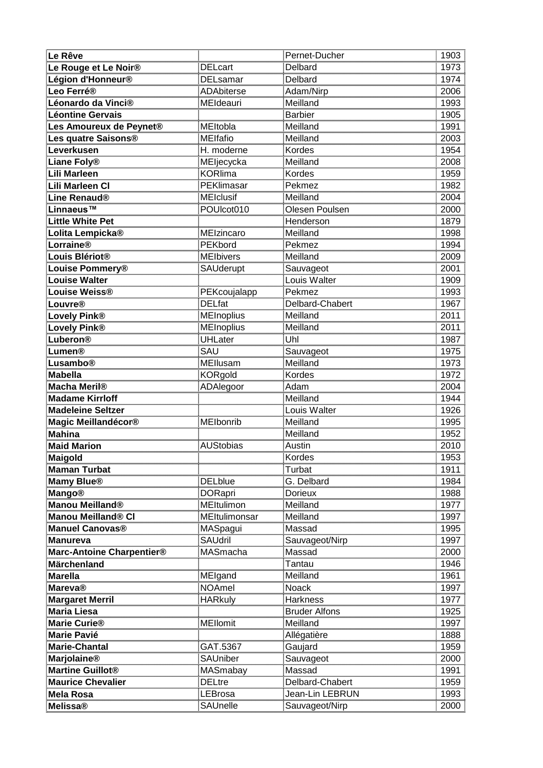| Le Rêve                                |                             | Pernet-Ducher                  | 1903                                                        |
|----------------------------------------|-----------------------------|--------------------------------|-------------------------------------------------------------|
| Le Rouge et Le Noir <sup>®</sup>       | DELcart                     | Delbard                        | 1973                                                        |
| Légion d'Honneur <sup>®</sup>          | <b>DELsamar</b>             | Delbard                        | 1974<br>2006<br>1993<br>1905<br>1991                        |
| Leo Ferré®                             | <b>ADAbiterse</b>           | Adam/Nirp                      |                                                             |
| Léonardo da Vinci®                     | MEIdeauri                   | Meilland                       |                                                             |
| Léontine Gervais                       |                             | Barbier<br>                    |                                                             |
| Les Amoureux de Peynet®                | <b>MEltobla</b>             | <b>Meilland</b>                |                                                             |
| Les quatre Saisons®                    | MElfafio                    | Meilland                       | 2003                                                        |
| Leverkusen                             | H. moderne                  | Kordes                         | 1954                                                        |
|                                        | MEljecycka                  | Meilland                       |                                                             |
| Liane Foly®<br>Lili Marleen            | <b>KORlima</b>              | Kordes                         |                                                             |
| <u>Lili Marleen Cl</u>                 | PEKlimasar                  | Pekmez                         |                                                             |
| Line Renaud®                           | <u>MEIclusif</u>            | Meilland                       |                                                             |
| Linnaeus™                              | POUIcot010                  | Olesen Poulsen                 | 2008<br>1959<br>1982<br>2004<br>2000<br>1978                |
| <b>Little White Pet</b>                |                             | Henderson                      |                                                             |
| Lolita Lempicka®                       | MEIzincaro                  |                                | 1879<br>1998                                                |
| <u>Lorraine®</u>                       |                             |                                |                                                             |
| Louis Blériot®<br>———————————————————— | <b>PEKbord</b><br>MEIbivers | Meilland<br>Pekmez<br>Meilland |                                                             |
| Louise Pommery®                        | SAUderupt                   | <u>Sauvageot</u>               |                                                             |
| ouise Walter                           |                             | Louis Walter                   | 1994<br>2009<br>2001<br>1909                                |
| <b>Louise Weiss®</b>                   | PEKcoujalapp                | Pekmez                         | 1993                                                        |
| <u>Louvre®</u>                         | <b>DELfat</b>               | Delbard-Chabert                |                                                             |
| Lovely Pink®                           | MEInoplius                  | Meilland                       |                                                             |
| <u> Lovely Pink®</u>                   | <b>MEInoplius</b>           | Meilland                       | $\frac{1967}{1967}$ $\frac{2011}{1987}$ $\frac{1987}{1975}$ |
| Luberon®                               | <u>UHLater</u>              | Uhl                            |                                                             |
| <u>_umen®</u>                          | SAU                         | Sauvageot                      |                                                             |
| Lusambo®                               | <b>MEllusam</b>             | Meilland                       | 1973                                                        |
| <b>Mabella</b>                         | <b>KORgold</b>              | Kordes                         | 1972                                                        |
| <b>Macha Meril®</b>                    | ADAlegoor                   | Adam                           |                                                             |
| Madame Kirrloff                        |                             | Meilland                       | 2004<br>1944<br>1926<br>1995<br>1995                        |
| <b>Madeleine Seltzer</b>               |                             | Louis Walter                   |                                                             |
| <u> Magic Meillandécor®</u>            | MEIbonrib                   | <b>Meilland</b>                |                                                             |
| <b>Mahina</b>                          |                             | Meilland                       | 1952                                                        |
| <b>Maid Marion</b>                     | AUStobias                   | Austin                         | 2010                                                        |
|                                        |                             | Kordes                         | 1953                                                        |
| Maigold<br>Maman Turbat                |                             | Turbat                         | 1911                                                        |
| Mamy Blue <sup>®</sup>                 |                             | G. Delbard                     | 1984                                                        |
| <u>Mango®</u>                          | DELblue<br>DORapri          | <u>Dorieux</u>                 | 1988                                                        |
| Manou Meilland®                        | MEltulimon                  | Meilland                       | 1977                                                        |
| Manou Meilland® Cl                     | <b>MEItulimonsar</b>        | Meilland                       | 1997                                                        |
| <b>Manuel Canovas®</b>                 | MASpagui                    | Massad                         | 1995                                                        |
| Manureva                               | SAUdril                     | Sauvageot/Nirp                 | $\frac{1500}{1997}$                                         |
| Marc-Antoine Charpentier <sup>®</sup>  | MASmacha                    | Massad                         | 2000                                                        |
| Märchenland                            |                             | <u>Tantau</u>                  |                                                             |
| <b>Marella</b>                         | MElgand                     | Meilland                       | 1946<br>1961                                                |
| <b>Mareva®</b>                         |                             | Noack                          |                                                             |
| <b>Margaret Merril</b>                 | NOAmel<br>HARkuly           | Harkness                       | 1997<br>1977                                                |
| Maria Liesa                            |                             | <b>Bruder Alfons</b>           | $\frac{1975}{1925}$                                         |
| Marie Curie®                           | <b>MEllomit</b>             | Meilland                       |                                                             |
| Marie Pavié                            |                             | <u>Allégatière</u>             | $\frac{1887}{1888}$                                         |
| Marie-Chantal                          | GAT.5367                    | <b>Gaujard</b>                 | 1959                                                        |
| <b>Marjolaine®</b>                     | <b>SAUniber</b>             | Sauvageot                      | 2000                                                        |
| Martine Guillot®                       |                             | Massad                         |                                                             |
| <b>Maurice Chevalier</b>               | MASmabay<br>DELtre          | Delbard-Chabert                | 1991<br>1959<br>1959                                        |
| Mela Rosa                              | <u>LEBrosa</u>              | Jean-Lin LEBRUN                | 1993                                                        |
| <b>Melissa®</b>                        | SAUnelle                    | Sauvageot/Nirp                 | 2000                                                        |
|                                        |                             |                                |                                                             |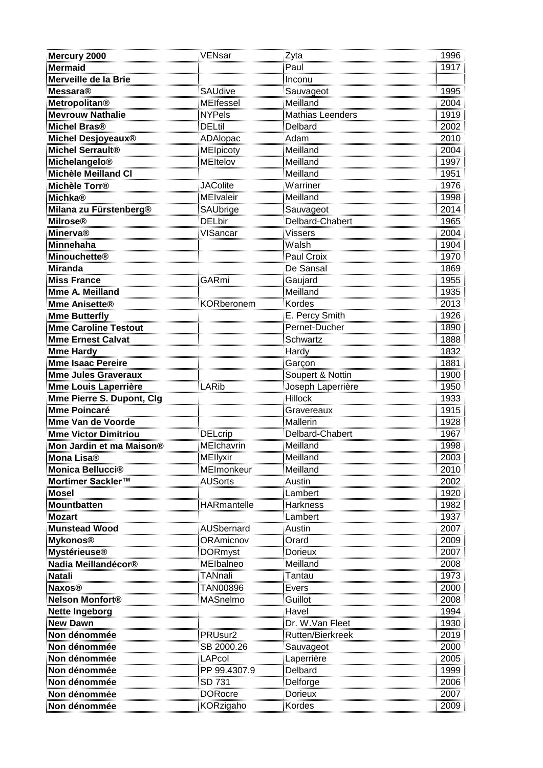| <u>Mercury 2000</u>                   | VENsar                             | Zyta                     | 1996                                 |
|---------------------------------------|------------------------------------|--------------------------|--------------------------------------|
| <b>Mermaid</b>                        |                                    | Paul                     | 1917                                 |
| Merveille de la Brie                  |                                    | Inconu                   |                                      |
| <b>Messara®</b>                       | <b>SAUdive</b>                     | Sauvageot                | 1995                                 |
| <u>Metropolitan®</u>                  | MEIfessel                          | Meilland                 | 2004                                 |
| <b>Mevrouw Nathalie</b>               | <b>NYPels</b>                      | <u>Mathias Leenders</u>  |                                      |
| Michel Bras®                          | <b>DELtil</b>                      | Delbard                  | 1919<br>2002                         |
| <mark>Michel Desjoyeaux®</mark>       | ADAlopac                           | Adam                     |                                      |
| Michel Serrault <sup>®</sup>          | <b>MElpicoty</b>                   | Meilland                 | 2010<br>2004                         |
| <u>Michelangelo®</u>                  | <b>MEltelov</b>                    | Meilland                 | <u>1997</u><br>1997<br>1951          |
| Michèle Meilland Cl                   |                                    | Meilland                 |                                      |
| Michèle Torr®                         | <b>JAColite</b>                    | <u>Warriner</u>          |                                      |
| <u>Michka®</u>                        | <b>MEIvaleir</b>                   | Meilland                 | 1976<br>1998                         |
| Milana zu Fürstenberg®                | SAUbrige                           | Sauvageot                | 2014                                 |
|                                       | <b>DELbir</b>                      | Delbard-Chabert          |                                      |
| Milrose®<br>Minerva®                  | ————————————————————<br>VISancar   | <b>Vissers</b>           |                                      |
| <u>Minnehaha</u>                      |                                    | Walsh                    |                                      |
| <u>Minouchette®</u>                   |                                    | Paul Croix               |                                      |
| Miranda                               |                                    | De Sansal                | 1965<br>2004<br>1904<br>1970<br>1869 |
| Miss France                           | GARmi                              | Gaujard                  | 1955                                 |
| Mme A. Meilland                       |                                    | Meilland                 | 1935                                 |
| Mme Anisette®                         | <b>KORberonem</b>                  | Kordes                   |                                      |
| <b>Mme Butterfly</b>                  |                                    | E. Percy Smith           |                                      |
| <u>Mme Caroline Testout</u>           |                                    | Pernet-Ducher            | 2013<br>1926<br>1890<br>1888         |
| Mme Ernest Calvat                     |                                    | Schwartz                 |                                      |
| <b>Mme Hardy</b>                      |                                    | Hardy                    | 1832                                 |
| Mme Isaac Pereire                     |                                    | Garçon                   | 1881                                 |
| <b>Mme Jules Graveraux</b>            |                                    | Soupert & Nottin         | $\frac{155}{1900}$                   |
| <u>Mme Louis Laperrière</u>           | LARib                              | <u>Joseph Laperrière</u> | 1960<br>1950<br>1933<br>1915         |
| <u>Mme Pierre S. Dupont, Clg</u>      |                                    | Hillock<br>              |                                      |
| <b>Mme Poincaré</b>                   |                                    | <u>Gravereaux</u>        |                                      |
| Mme Van de Voorde                     |                                    | Mallerin                 | 1928                                 |
| <b>Mme Victor Dimitriou</b>           | <b>DELcrip</b>                     | Delbard-Chabert          | 1967                                 |
| Mon Jardin et ma Maison®              | MElchavrin                         | Meilland                 | 1998                                 |
| Mona Lisa®                            | MEllyxir                           | Meilland                 | 2003                                 |
| Monica Bellucci®                      | MEImonkeur                         | Meilland                 | 2010                                 |
| Mortimer Sackler™                     | AUSorts                            | Austin                   | 2002<br>1920                         |
| Mosel                                 |                                    | Lambert                  |                                      |
| Mountbatten                           | HARmantelle                        | <b>Harkness</b>          | 1982<br>_____<br>1937                |
| <b>Mozart</b><br><b>Munstead Wood</b> |                                    | Lambert                  | 2007                                 |
|                                       | <b>AUSbernard</b>                  | Austin<br>Orard          |                                      |
| <u>Mykonos®</u>                       | ORAmicnov                          |                          |                                      |
| Mystérieuse®<br>Nadia Meillandécor®   | DORmyst                            | <u>Dorieux</u>           |                                      |
| Natali                                | <b>MEIbalneo</b><br><b>TANnali</b> | Meilland<br>Tantau       | 2007<br>2009<br>2007<br>2008<br>1973 |
| Naxos®                                |                                    |                          |                                      |
| Nelson Monfort®                       | TAN00896<br><b>MASnelmo</b>        | Evers<br>Guillot         |                                      |
|                                       |                                    | Havel                    |                                      |
| <u>Nette Ingeborg</u><br>New Dawn     |                                    | Dr. W.Van Fleet          | 2000<br>2008<br>1994<br>1930         |
| Non dénommée                          | PRUsur2                            | Rutten/Bierkreek         | 2019                                 |
| Non dénommée                          | SB 2000.26                         |                          |                                      |
| Non dénommée                          | LAPcol                             | Sauvageot<br>Laperrière  | 2000<br>2005                         |
| Non dénommée                          | PP 99.4307.9                       | Delbard                  | 1999                                 |
| Non dénommée                          | SD 731                             | Delforge                 | $\frac{1000}{2006}$                  |
| Non dénommée                          | <b>DORocre</b>                     | Dorieux                  | 2007                                 |
| Non dénommée                          | KORzigaho                          | Kordes                   | 2009                                 |
|                                       |                                    |                          |                                      |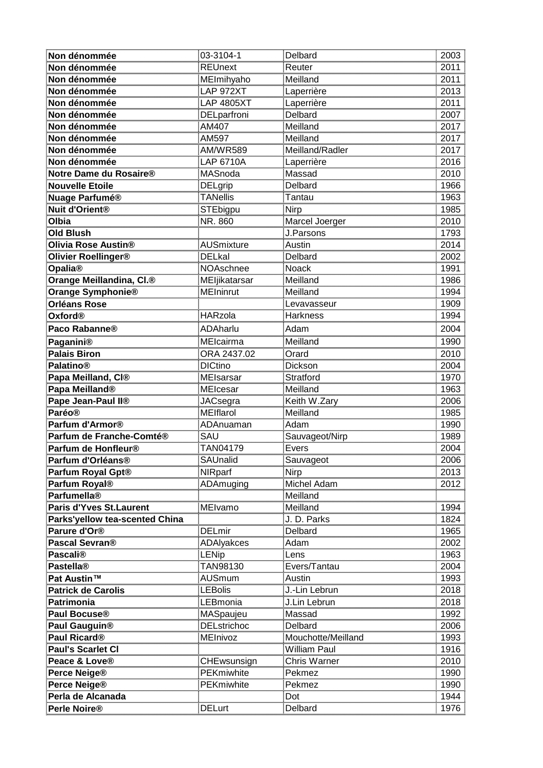| Non dénommée                           | 03-3104-1               | <u>Delbard</u>                      | 2003                                         |
|----------------------------------------|-------------------------|-------------------------------------|----------------------------------------------|
| Non dénommée                           | <b>REUnext</b>          | Reuter                              | 2011                                         |
| Non dénommée                           |                         | Meilland                            | $\frac{-34}{2011}$                           |
| namentamente<br>Non dénommée           | MElmihyaho<br>LAP 972XT | <u>Laperrière</u>                   | $\frac{2011}{2013}$                          |
| <u>Non dénommée</u>                    | <b>LAP 4805XT</b>       | <u>Laperrière</u>                   |                                              |
| Non dénommée                           | <u>DELparfroni</u>      | <u>Delbard</u>                      |                                              |
| Non dénommée                           | AM407                   | Meilland                            | 2007<br>2017                                 |
| Non dénommée                           | AM597                   | Meilland                            |                                              |
| Non dénommée                           | <b>AM/WR589</b>         | Meilland/Radler                     | 2017<br>2017                                 |
| <u>Non dénommée</u>                    | LAP 6710A               | <u>Laperrière</u>                   |                                              |
| Notre Dame du Rosaire®                 | MASnoda                 | Massad                              | 2016<br>2016<br>2010<br>1968<br>1963         |
| <u>Nouvelle Etoile</u>                 | <u>DELgrip</u>          | <b>Delbard</b>                      |                                              |
| Nuage Parfumé®                         | <b>TANellis</b>         | <u>Tantau</u>                       |                                              |
| Nuit d'Orient <sup>®</sup>             | <b>STEbigpu</b>         | Nirp                                | 1985                                         |
| $\overline{O}$ Ibia                    | NR. 860                 | Marcel Joerger                      |                                              |
| Old Blush                              |                         | J.Parsons                           | 2010<br>2010<br>1793<br>2014<br>2002<br>1991 |
| Olivia Rose Austin <sup>®</sup>        | AUSmixture              | Austin                              |                                              |
| <u> Olivier Roellinger®</u>            | DELkal<br>NOAschnee     | <u>Delbard</u>                      |                                              |
| <b>Opalia®</b>                         |                         | Noack                               |                                              |
| Orange Meillandina, CI. <sup>®</sup>   | MEljikatarsar           | Meilland                            | 1986                                         |
| Orange Symphonie®                      | <b>MEIninrut</b>        | Meilland                            | 1994                                         |
| Orléans Rose<br>Oxford®                |                         |                                     |                                              |
|                                        |                         | Levavasseur<br>Harkness             | 1909<br>1994                                 |
| Paco Rabanne®                          | <b>ADAharlu</b>         | Adam                                | 2004                                         |
|                                        | MElcairma               | Meilland                            | 1990                                         |
| Paganini®<br>Palais Biron<br>Palatino® | ORA 2437.02<br>DICtino  | Orard                               | $\frac{2010}{2004}$                          |
|                                        |                         | Dickson                             |                                              |
| <mark>Papa Meilland, Cl®</mark>        | MEIsarsar               | <b>Stratford</b>                    |                                              |
| Papa Meilland <sup>®</sup>             | MElcesar                | Meilland                            | 1970<br>1963                                 |
| Pape Jean-Paul II®                     |                         | <u>Keith W.Zary</u>                 |                                              |
| <b>Paréo®</b>                          | JACsegra<br>MElflarol   | Meilland                            | 2006<br>1985                                 |
|                                        | ADAnuaman<br>SAU        | Adam                                | $\frac{1990}{1989}$                          |
|                                        |                         | Sauvageot/Nirp                      |                                              |
| Parfum de Honfleur®                    | TAN04179                | Evers                               | 2004                                         |
| Parfum d'Orléans®                      | <u>SAUnalid</u>         | Sauvageot                           | <u>2006</u>                                  |
| Parfum Royal Gpt®                      | NIRparf                 | Nirp                                | 2013                                         |
| <b>Parfum Royal®</b>                   | <u>ADAmuging</u>        | Michel Adam                         | 2012                                         |
| <b>Parfumella®</b>                     |                         | Meilland                            |                                              |
| <b>Paris d'Yves St.Laurent</b>         | <b>MEIvamo</b>          | Meilland                            | 1994                                         |
| <u>Parks'yellow tea-scented China</u>  |                         | <mark>J. D. Parks</mark><br>Delbard | 1824<br>1965                                 |
| Parure d'Or®                           | <b>DELmir</b>           |                                     |                                              |
| Pascal Sevran®                         | <b>ADAlyakces</b>       | Adam                                | 2002<br>1963                                 |
| <b>Pascali®</b>                        | LENip                   | Lens                                |                                              |
| Pastella®<br>Pat Austin™               | TAN98130                | Evers/Tantau                        | 2004                                         |
|                                        | AUSmum<br>LEBolis       | Austin                              | $\frac{2004}{1993}$                          |
| <b>Patrick de Carolis</b>              |                         | J.-Lin Lebrun                       |                                              |
| Patrimonia                             | <u>LEBmonia</u>         | <u>J.Lin Lebrun</u>                 | 2018                                         |
| Paul Bocuse®                           | MASpaujeu               | Massad                              | 1992                                         |
| <b>Paul Gauguin®</b>                   | <b>DELstrichoc</b>      | Delbard                             | 2006<br>                                     |
| Paul Ricard <sup>®</sup>               | MEInivoz                | Mouchotte/Meilland                  | 1993                                         |
| <u> Paul's Scarlet Cl</u>              |                         | William Paul                        | 1916                                         |
| Peace & Love®                          | <b>CHEwsunsign</b>      | Chris Warner                        | 2010                                         |
| Perce Neige®                           | <b>PEKmiwhite</b>       | Pekmez                              | 1990                                         |
| <b>Perce Neige®</b>                    | PEKmiwhite              | Pekmez                              | 1990                                         |
| Perla de Alcanada                      |                         | Dot                                 | 1944                                         |
| Perle Noire <sup>®</sup>               | DELurt                  | Delbard                             | 1976                                         |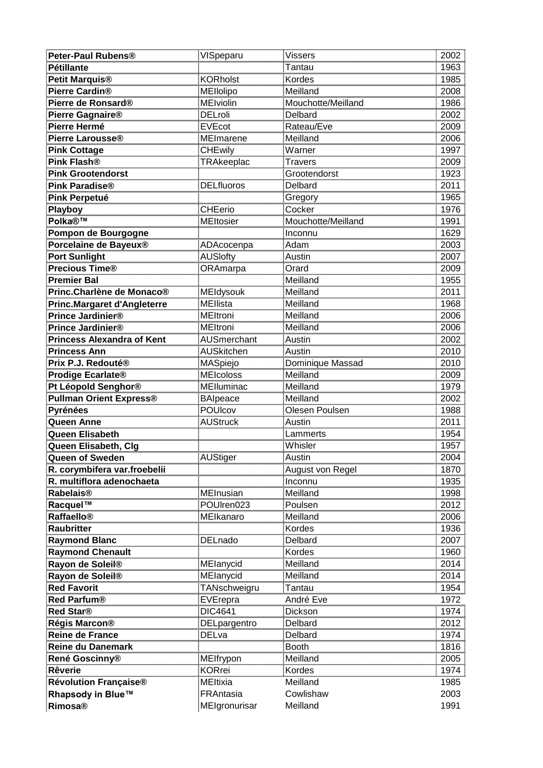| Peter-Paul Rubens®                                                                                                                              | VISpeparu               | Vissers             | 2002                                                                                 |
|-------------------------------------------------------------------------------------------------------------------------------------------------|-------------------------|---------------------|--------------------------------------------------------------------------------------|
| <b>Pétillante</b>                                                                                                                               |                         | Tantau              | 1963                                                                                 |
| <b>Petit Marquis®</b>                                                                                                                           | <b>KORholst</b>         | Kordes              | 1985                                                                                 |
| <b>Pierre Cardin®</b>                                                                                                                           | MEllolipo               | Meilland            | $\frac{1}{2008}$                                                                     |
| Pierre de Ronsard®                                                                                                                              | <u>MElviolin</u>        | Mouchotte/Meilland  | 1986                                                                                 |
| <u> Pierre Gagnaire®</u>                                                                                                                        |                         | Delbard             |                                                                                      |
| Pierre Hermé                                                                                                                                    | DELroli<br>EVEcot       | Rateau/Eve          | 2002<br>2009                                                                         |
| Pierre Larousse®                                                                                                                                | <b>MEImarene</b>        | Meilland            |                                                                                      |
|                                                                                                                                                 | <b>CHEwily</b>          | Warner              | 2006<br>1997                                                                         |
| <b>Pink Cottage</b><br>Pink Flash®                                                                                                              | <b>TRAkeeplac</b>       | <b>Travers</b>      | 2009<br>2009<br>1923<br>2011<br>1965                                                 |
| <b>Pink Grootendorst</b>                                                                                                                        |                         | Grootendorst        |                                                                                      |
| Pink Paradise®                                                                                                                                  | <b>DELfluoros</b>       | <b>Delbard</b>      |                                                                                      |
| Pink Perpetué                                                                                                                                   |                         | <u>Gregory</u>      |                                                                                      |
| <b>Playboy</b>                                                                                                                                  | CHEerio                 | Cocker              | 1976                                                                                 |
| Polka®™                                                                                                                                         | <b>MEltosier</b>        | Mouchotte/Meilland  |                                                                                      |
| Pompon de Bourgogne                                                                                                                             |                         | Inconnu             |                                                                                      |
| <b>Porcelaine de Bayeux®</b>                                                                                                                    | <u>ADAcocenpa</u>       | Adam                | $\begin{array}{r} \hline 1991 \\ 1629 \\ 2003 \\ 2007 \\ 2009 \\ \hline \end{array}$ |
| <u>Port Sunlight</u>                                                                                                                            | AUSlofty                | Austin              |                                                                                      |
| Precious Time®                                                                                                                                  | <b>ORAmarpa</b>         | Orard               |                                                                                      |
| <b>Premier Bal</b>                                                                                                                              |                         | Meilland            | 1955<br>2011                                                                         |
| Princ.Charlène de Monaco®                                                                                                                       | <b>MEldysouk</b>        | Meilland            |                                                                                      |
| Princ.Margaret d'Angleterre                                                                                                                     | <b>MEllista</b>         | Meilland            |                                                                                      |
| Prince Jardinier®                                                                                                                               | MEltroni                | Meilland            |                                                                                      |
| Prince Jardinier®                                                                                                                               | <b>MEltroni</b>         | Meilland            | 2011<br>1968<br>2006<br>2006<br>2002<br>2010                                         |
| Princess Alexandra of Kent                                                                                                                      | <b>AUSmerchant</b>      | Austin              |                                                                                      |
| Princess Ann                                                                                                                                    | <b>AUSkitchen</b>       | Austin              |                                                                                      |
| Prix P.J. Redouté®                                                                                                                              | MASpiejo                | Dominique Massad    | 2010                                                                                 |
| Prodige Ecarlate®                                                                                                                               | <b>MEIcoloss</b>        | Meilland            | $\frac{2009}{2009}$                                                                  |
| <b>Pt Léopold Senghor®</b>                                                                                                                      | <b>MElluminac</b>       | Meilland            | 2009<br>1979<br>2002<br>1988                                                         |
| <b>Pullman Orient Express®</b>                                                                                                                  | BAIpeace                | Meilland            |                                                                                      |
| Pyrénées                                                                                                                                        | POUIcov                 | Olesen Poulsen      |                                                                                      |
| Queen Anne                                                                                                                                      | <b>AUStruck</b>         | <u>Austin</u>       | 2011                                                                                 |
| Queen Elisabeth                                                                                                                                 |                         | Lammerts            | 1954                                                                                 |
| Queen Elisabeth, Clg                                                                                                                            |                         | Whisler             | 1957                                                                                 |
| Queen of Sweden                                                                                                                                 | AUStiger                | Austin              | 2004                                                                                 |
| R. corymbifera var.froebelii                                                                                                                    |                         | August von Regel    | 1870                                                                                 |
| R. multiflora adenochaeta                                                                                                                       |                         |                     | 1935                                                                                 |
| Rabelais®                                                                                                                                       | <b>MEInusian</b>        | Meilland            | 1998                                                                                 |
| Racquel <sup>TM</sup>                                                                                                                           | POUIren023<br>MEIkanaro | Poulsen<br>Meilland | 2012                                                                                 |
| <b>Raffaello®</b>                                                                                                                               |                         |                     | 2006                                                                                 |
| <b>Raubritter</b>                                                                                                                               |                         | Kordes              | 1936                                                                                 |
| <b>Raymond Blanc</b>                                                                                                                            | DELnado                 | Delbard             | 2007                                                                                 |
| <b>Raymond Chenault</b><br>L.<br>Allan allan allan allan allan allan allan allan allan allan allan allan allan allan allan allan allan allan al |                         | Kordes              | 1960                                                                                 |
| Rayon de Soleil <sup>®</sup>                                                                                                                    | MElanycid               | Meilland            | 2014                                                                                 |
| Rayon de Soleil®                                                                                                                                | MElanycid               | Meilland            | 2014                                                                                 |
| <b>Red Favorit</b>                                                                                                                              | TANschweigru            | Tantau<br>André Eve | 1954<br>1972                                                                         |
| <b>Red Parfum®</b>                                                                                                                              | EVErepra                |                     | $\frac{1312}{1974}$                                                                  |
| Red Star <sup>®</sup>                                                                                                                           | DIC4641                 | Dickson             |                                                                                      |
| Régis Marcon®                                                                                                                                   | DELpargentro            | Delbard             | 2012<br>1974                                                                         |
| Reine de France                                                                                                                                 | DELva                   | Delbard             | 1816                                                                                 |
| <b>Reine du Danemark</b>                                                                                                                        | MElfrypon               | Booth<br>Meilland   | 2005                                                                                 |
| René Goscinny®<br><b>Rêverie</b>                                                                                                                | <b>KORrei</b>           | Kordes              | 1974                                                                                 |
| <b>Révolution Française®</b>                                                                                                                    | MEltixia                | Meilland            | <br>1985                                                                             |
| <b>Rhapsody in Blue™</b>                                                                                                                        | FRAntasia               | Cowlishaw           | 2003                                                                                 |
|                                                                                                                                                 |                         |                     |                                                                                      |
| <b>Rimosa®</b>                                                                                                                                  | MEIgronurisar           | Meilland            | 1991                                                                                 |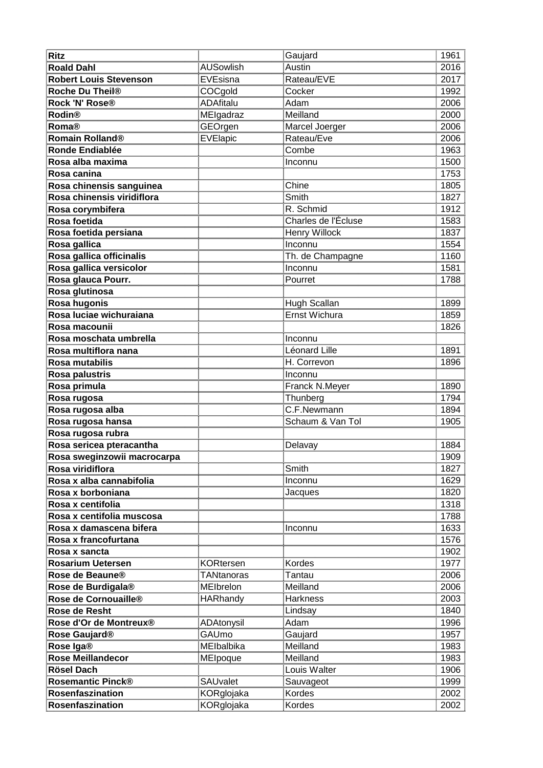| Ritz                                        |                        | <u>Gaujard</u>                   | 1961                                         |
|---------------------------------------------|------------------------|----------------------------------|----------------------------------------------|
| <b>Roald Dahl</b>                           | AUSowlish              | Austin                           | 2016                                         |
| <b>Robert Louis Stevenson</b>               | EVEsisna               | Rateau/EVE                       | 2017                                         |
| Roche Du Theil®                             | COCgold                | Cocker                           | $\frac{22}{1992}$                            |
| Rock 'N' Rose®                              |                        | Adam                             | 2006                                         |
| Rodin®                                      | ADAfitalu<br>MElgadraz | Meilland                         | 2000                                         |
| Roma®                                       | GEOrgen                | Marcel Joerger                   | 2006                                         |
| <mark>Romain Rolland®</mark>                | EVElapic               | Rateau/Eve                       | 2006                                         |
| Ronde Endiablée                             |                        | Combe                            | 1963                                         |
| <u>Rosa alba maxima</u>                     |                        | Inconnu                          | 1500                                         |
| Rosa canina                                 |                        |                                  | 1753                                         |
| Rosa chinensis sanguinea                    |                        | <b>Chine</b>                     | 1805                                         |
| Rosa chinensis viridiflora                  |                        | Smith                            | 1827                                         |
| Rosa corymbifera                            |                        | R. Schmid                        | 1912                                         |
| Rosa foetida                                |                        | Charles de l'Écluse              | 1583                                         |
| Rosa foetida persiana                       |                        | Henry Willock                    | 1837                                         |
| <u>Rosa gallica</u>                         |                        | Inconnu                          | 1554                                         |
| <u>Rosa gallica officinalis</u>             |                        | <u>Th. de Champagne</u>          |                                              |
| Rosa gallica versicolor                     |                        | Inconnu                          | 1160<br>1581                                 |
| Rosa glauca Pourr <mark>.</mark>            |                        | Pourret                          | 1788                                         |
| Rosa glutinosa                              |                        |                                  |                                              |
| <u>Rosa hugonis</u>                         |                        | Hugh Scallan                     | 1899                                         |
| Rosa luciae wichuraiana<br>R                |                        | Ernst Wichura                    | $\frac{1859}{1859}$                          |
| <mark>Rosa macounii</mark>                  |                        |                                  |                                              |
| Rosa moschata umbrella                      |                        |                                  |                                              |
| Rosa multiflora nana                        |                        | Inconnu<br>Léonard Lille         | 1891                                         |
| Rosa mutabilis                              |                        | H. Correvon                      | 1896                                         |
| <u>Rosa palustris</u>                       |                        | Inconnu                          |                                              |
| <u>Rosa primula</u>                         |                        | Franck N.Meyer                   |                                              |
| Rosa rugosa<br>                             |                        | Thunberg<br>———————————————————— | 1890<br>1794<br>1894                         |
| <u>Rosa rugosa alba</u>                     |                        | C.F.Newmann                      |                                              |
| Rosa rugosa hansa                           |                        | Schaum & Van Tol                 | 1905                                         |
| Rosa rugosa rubra                           |                        |                                  |                                              |
| <u>Rosa sericea pteracantha shekara she</u> |                        |                                  | 1884<br>,,,,,,,,,,,,,,,,,,,,                 |
| <u>Rosa sweginzowii macroc</u>              |                        |                                  | 1909                                         |
| Rosa viridiflora                            |                        | Smith                            | 1827                                         |
| <u>Rosa x alba cannabifolia</u>             |                        | <u>Inconnu</u>                   | $\frac{1021}{1629}$                          |
| Rosa x borboniana                           |                        | Jacques                          |                                              |
| Rosa x centifolia                           |                        |                                  | 1318<br>1788                                 |
| Rosa x centifolia muscosa                   |                        |                                  |                                              |
| Rosa x damascena bifera                     |                        | Inconnu                          | 1700<br>1633<br>1576<br>1902<br>1977<br>2006 |
| <u>.</u><br>Rosa x francofurtana            |                        |                                  |                                              |
| <u>Rosa x sancta</u>                        |                        |                                  |                                              |
| Rosarium Uetersen                           | <b>KORtersen</b>       | Kordes                           |                                              |
| Rose de Beaune®                             | <b>TANtanoras</b>      | Tantau                           |                                              |
| <mark>Rose de Burdigala®</mark>             | MElbrelon<br>HARhandy  | Meilland<br>Harkness             |                                              |
| Rose de Cornouaille <sup>®</sup>            |                        |                                  |                                              |
| Rose de Resht                               |                        | Lindsay                          | 2006<br>2003<br>1840<br>1996<br>1957         |
| <mark>Rose d'Or de Montreux®</mark>         | <u>ADAtonysil</u>      | Adam                             |                                              |
| Rose Gaujard®                               | GAUmo                  | Gaujard                          |                                              |
| Rose Iga®                                   | MElbalbika             | Meilland                         | 1983                                         |
| <b>Rose Meillandecor</b>                    | MEIpoque               | Meilland                         | 1983                                         |
| Rösel Dach<br>Rosemantic Pinck®             |                        | Louis Walter                     | 1906<br>1999                                 |
|                                             | <b>SAUvalet</b>        | Sauvageot                        |                                              |
| Rosenfaszination                            | KORglojaka             | Kordes                           | 2002                                         |
| Rosenfaszination                            | KORglojaka             | Kordes                           | 2002                                         |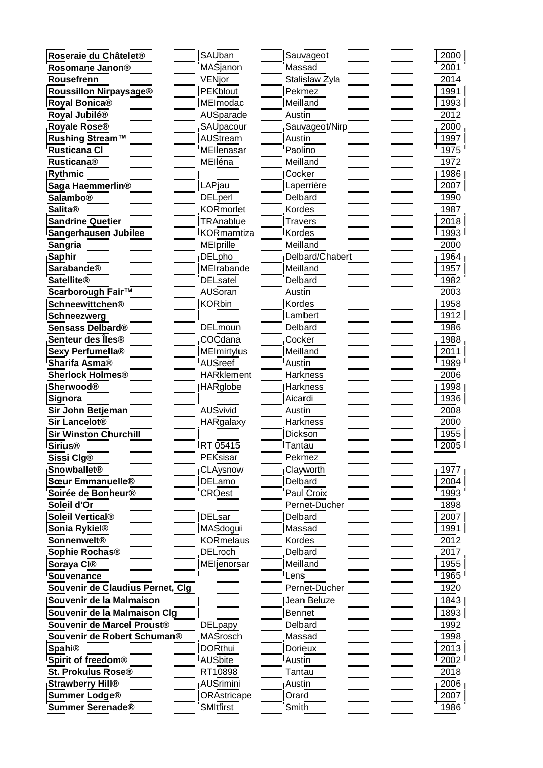| Roseraie du Châtelet®                     | <u>SAUban</u>                     | Sauvageot             | 2000                                 |
|-------------------------------------------|-----------------------------------|-----------------------|--------------------------------------|
| Rosomane Janon®                           | MASjanon                          | Massad                | 2001                                 |
| Rousefrenn                                | <u>VENjor</u>                     | <u>Stalislaw Zyla</u> | 2014<br>1991                         |
| Roussillon Nirpaysage®                    | <b>PEKblout</b>                   | Pekmez                |                                      |
| <mark>Royal Bonica®</mark>                | TERBISSA<br>MEImodac<br>AUSparade | Meilland              |                                      |
| <mark>Royal Jubilé®</mark>                |                                   | Austin                |                                      |
| Royale Rose®                              | SAUpacour                         | Sauvageot/Nirp        |                                      |
| <mark>Rushing Stream™</mark>              | AUStream                          | Austin                | 1991<br>1993<br>2012<br>2000<br>1997 |
| <b>Rusticana Cl</b>                       | MEllenasar                        | Paolino               | 1975<br>1972                         |
| <b>Rusticana®</b>                         | MElléna                           | Meilland              |                                      |
| <u></u><br>Rythmic                        |                                   | Cocker                | 1972<br>1986<br>2007<br>1990<br>1987 |
| <u>Saga Haemmerlin®</u>                   | LAPjau                            | <u>Laperrière</u>     |                                      |
| <b>Salambo®</b>                           | DELperl<br>                       | <u>Delbard</u>        |                                      |
| <b>Salita®</b>                            | KORmorlet                         | Kordes                |                                      |
| <b>Sandrine Quetier</b>                   | TRAnablue                         | <b>Travers</b>        |                                      |
| Sangerhausen Jubilee                      | <b>KORmamtiza</b>                 | Kordes                | 2018<br>1993                         |
| <u>Sangria</u>                            | MElprille                         | Meilland              |                                      |
| <mark>Saphir</mark>                       | DELpho                            | Delbard/Chabert       |                                      |
| $\sf{Sarab}$                              | MEIrabande                        | Meilland              | 2000<br>1964<br>1957                 |
| Satellite®                                | <b>DELsatel</b>                   | <b>Delbard</b>        | 1982                                 |
| Scarborough Fair™                         | <b>AUSoran</b>                    | Austin                | 2003                                 |
| <mark>Schneewittchen®</mark>              | <b>KORbin</b>                     | Kordes                |                                      |
| Schneezwerg                               |                                   | Lambert               |                                      |
| <u>Sensass Delbard®</u>                   | DELmoun                           | Delbard               | 1958<br>1912<br>1986<br>1988<br>2011 |
| <u>Senteur des Îles®</u>                  | COCdana                           | <u>Cocker</u>         |                                      |
| Sexy Perfumella®                          | <b>MEImirtylus</b>                | Meilland              |                                      |
| Sharifa Asma®                             | <b>AUSreef</b>                    | Austin                | 1989                                 |
| Sherlock Holmes <sup>®</sup>              | <b>HARklement</b>                 | <b>Harkness</b>       |                                      |
| Sherwood®                                 | <b>HARglobe</b>                   | <b>Harkness</b>       | 2006<br>1998<br>1936<br>2008         |
| Signora<br>Dete                           |                                   | Aicardi               |                                      |
| <u>Sir John Betjeman</u>                  | AUSvivid                          | Austin                |                                      |
| <u>Sir Lancelot®</u>                      | HARgalaxy                         | <b>Harkness</b>       | 2000                                 |
| <b>Sir Winston Churchill</b>              |                                   | Dickson               | 1955                                 |
| <b>Sirius®</b>                            | RT 05415                          | Tantau                | 2005                                 |
| <u>Sissi Clg®</u><br>———————————————————— | PEKsisar                          | Pekmez<br>            |                                      |
| <b>Snowballet®</b>                        | <b>CLAysnow</b>                   | <u>Clayworth</u>      | 1977                                 |
| Sœur Emmanuelle®                          | <u>DELamo</u>                     | Delbard               | 2004                                 |
| Soirée de Bonheur®                        | <b>CROest</b>                     | Paul Croix            | 1993                                 |
| Soleil d'Or                               |                                   | Pernet-Ducher         | 1898                                 |
| Soleil Vertical®                          | DELsar                            | Delbard               | 2007                                 |
| <u>Sonia Rykiel® III</u>                  | MASdogui                          | Massad                | 1991                                 |
| Sonnenwelt®                               | <b>KORmelaus</b>                  | Kordes                | $\frac{188}{2012}$                   |
| Sophie Rochas®                            | <b>DELroch</b>                    | <b>Delbard</b>        | 2017                                 |
| Soraya CI®                                | MEljenorsar                       | Meilland              | 1955                                 |
| Souvenance                                |                                   | Lens                  | 1965                                 |
| <u>Souvenir de Claudius Pernet, Clg</u>   |                                   | Pernet-Ducher         | 1920                                 |
| Souvenir de la Malmaison                  |                                   | Jean Beluze           | 1843<br>                             |
| Souvenir de la Malmaison Clg              |                                   | Bennet                | 1893                                 |
| Souvenir de Marcel Proust®                | <u>DELpapy</u>                    | Delbard               | 1992                                 |
| Souvenir de Robert Schuman®               | MASrosch                          | Massad                | 1998                                 |
| <b>Spahi®</b>                             | <b>DORthui</b>                    | Dorieux               | 2013                                 |
| Spirit of freedom®                        | <b>AUSbite</b>                    | Austin                | 2002                                 |
| <u>St. Prokulus Rose®</u>                 | RT10898                           | Tantau                | 2018                                 |
| <u>Strawberry Hill®</u>                   | <u>AUSrimini</u>                  | Austin                | 2006                                 |
| Summer Lodge®                             | <u>ORAstricape</u>                | <u>Orard</u>          | 2007                                 |
| Summer Serenade®                          | SMItfirst                         | Smith                 | 1986                                 |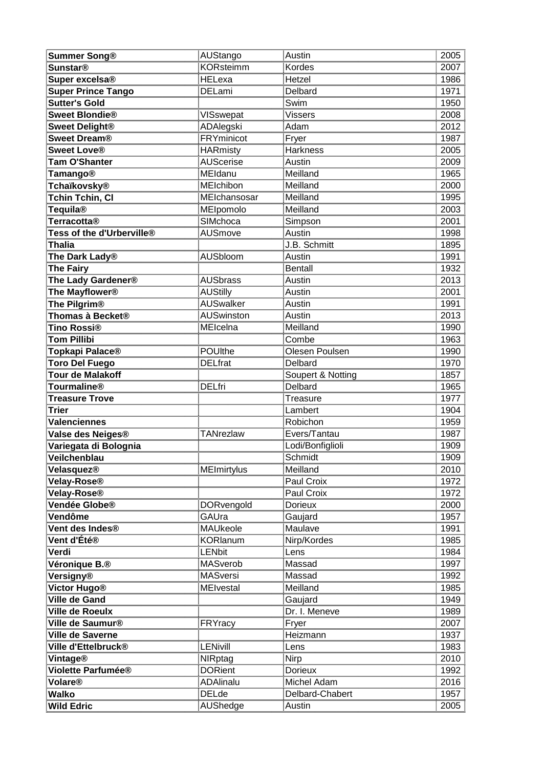| <u>Summer Song®</u>                      | AUStango                                          | Austin                     | 2005                                 |
|------------------------------------------|---------------------------------------------------|----------------------------|--------------------------------------|
|                                          | <b>KORsteimm</b>                                  | Kordes                     | 2007                                 |
| Sunstar®<br>Super excelsa®               |                                                   | Hetzel                     | 1986                                 |
| <b>Super Prince Tango</b>                | HELexa<br>DELami                                  | Delbard                    | 1960<br>1971<br>1950<br>2008<br>2012 |
| <u>Sutter's Gold</u>                     |                                                   | <u>Swim</u>                |                                      |
| Sweet Blondie <sup>®</sup>               | <u>VISswepat</u>                                  | Vissers                    |                                      |
| <b>Sweet Delight®</b>                    | ADAlegski                                         | Adam                       |                                      |
| Sweet Dream <sup>®</sup>                 | <b>FRYminicot</b>                                 | Fryer                      |                                      |
| <b>Sweet Love®</b>                       | <b>HARmisty</b>                                   | <b>Harkness</b>            | 1987<br>2005                         |
|                                          | AUScerise<br>MEldanu<br>MElchibon<br>MElchansosar |                            | 2009<br>1965<br>2000<br>1995         |
| <mark>Tam O'Shanter</mark><br>Tamango®   |                                                   | Austin<br>Meilland         |                                      |
|                                          |                                                   | Meilland                   |                                      |
| Tchaïkovsky®<br>Tchin Tchin, Cl          |                                                   | Meilland                   |                                      |
| <u>Tequila®</u>                          | MEIpomolo                                         | Meilland                   | 2003                                 |
|                                          |                                                   | <b>Simpson</b>             |                                      |
| Terracotta®<br>Tess of the d'Urberville® | SIMchoca<br>AUSmove                               | Austin                     |                                      |
| <b>Thalia</b>                            |                                                   | J.B. Schmitt               |                                      |
| The Dark Lady®                           | AUSbloom                                          | Austin<br>                 |                                      |
| The Fairy                                |                                                   | <b>Bentall</b>             | 2001<br>1998<br>1895<br>1991<br>1932 |
| The Lady Gardener®                       | AUSbrass                                          | Austin                     | 2013                                 |
| The Mayflower <sup>®</sup>               |                                                   | Austin                     |                                      |
|                                          | <b>AUStilly</b><br>AUSwalker                      | Austin                     | 2001<br>1991                         |
| The Pilgrim®<br>Thomas à Becket®         | AUSwinston                                        | …………<br>Austin             | 1991<br>2013<br>1990<br>1963<br>1990 |
|                                          | MElcelna                                          | Meilland                   |                                      |
| Tino Rossi®<br>Tom Pillibi               |                                                   | Combe                      |                                      |
| Topkapi Palace®                          | <b>POUlthe</b>                                    | Olesen Poulsen             |                                      |
| <u>Toro Del Fuego</u>                    | <b>DELfrat</b>                                    | Delbard                    |                                      |
| <b>Tour de Malakoff</b>                  |                                                   | Soupert & Notting          | 1970<br>1857                         |
| Tourmaline®                              | DELfri                                            | Delbard                    |                                      |
| <u>Treasure Trove</u>                    |                                                   |                            | 1965<br>1965<br>1977<br>1904         |
| <b>Trier</b>                             |                                                   | <u>Treasure</u><br>Lambert |                                      |
| Valenciennes                             |                                                   | Robichon                   | 1959                                 |
| Valse des Neiges®                        | TANrezlaw                                         | Evers/Tantau               | 1987                                 |
| Variegata di Bolognia                    |                                                   | Lodi/Bonfiglioli           | 1909                                 |
| Veilchenblau                             |                                                   | Schmidt                    | 1909                                 |
| <u>Velasquez®</u>                        | MElmirtylus                                       | Meilland                   | 2010                                 |
| Velay-Rose®                              |                                                   | Paul Croix                 | 1972                                 |
| Velay-Rose®                              |                                                   | Paul Croix                 | <br>1972                             |
| Vendée Globe®                            | DORvengold                                        | Dorieux                    | 2000                                 |
| Vendôme                                  | GAUra                                             | Gaujard                    | $\frac{2888}{1957}$                  |
| Vent des Indes®                          | MAUkeole                                          | Maulave                    | 1991                                 |
| Vent d'Été®                              | <b>KORlanum</b>                                   | Nirp/Kordes                | 1985                                 |
| Verdi                                    | LENbit                                            | <u>Lens</u>                | 1984                                 |
| Véronique B.®                            | MASverob                                          | Massad                     | 1997                                 |
| Versigny®                                | <b>MASversi</b>                                   | Massad                     | 1992                                 |
| <u>Victor Hugo®</u>                      | MElvestal                                         | Meilland                   | 1985                                 |
| <b>Ville de Gand</b>                     |                                                   | <u>Gaujard</u>             | 1949                                 |
| Ville de Roeulx                          |                                                   | Dr. I. Meneve              | 1989                                 |
| Ville de Saumur <sup>®</sup>             | FRYracy                                           | Fryer                      | 2007                                 |
| Ville de Saverne                         |                                                   | Heizmann                   | 1937                                 |
| Ville d'Ettelbruck®                      | LENivill                                          | <u>Lens</u>                | 1983                                 |
| <b>Vintage®</b>                          | NIRptag                                           | <b>Nirp</b>                | 2010                                 |
| Violette Parfumée®                       | <b>DORient</b>                                    | <b>Dorieux</b>             | 1992                                 |
| Volare®                                  | <b>ADAlinalu</b>                                  | Michel Adam                | <br>2016                             |
| Walko <b>wal</b>                         | <b>DELde</b>                                      | Delbard-Chabert            | 1957                                 |
| <b>Wild Edric</b>                        | <b>AUShedge</b>                                   | Austin                     | 2005                                 |
|                                          |                                                   |                            |                                      |